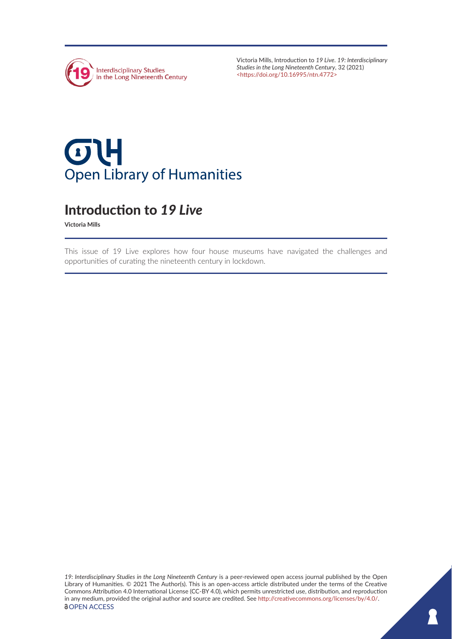

Victoria Mills, Introduction to *19 Live*. *19: Interdisciplinary Studies in the Long Nineteenth Century*, 32 (2021) <<https://doi.org/10.16995/ntn.4772>>

## $\sigma$ 4 **Open Library of Humanities**

## Introduction to *19 Live*

**Victoria Mills**

This issue of 19 Live explores how four house museums have navigated the challenges and opportunities of curating the nineteenth century in lockdown.

*19: Interdisciplinary Studies in the Long Nineteenth Century* is a peer-reviewed open access journal published by the Open Library of Humanities. © 2021 The Author(s). This is an open-access article distributed under the terms of the Creative Commons Attribution 4.0 International License (CC-BY 4.0), which permits unrestricted use, distribution, and reproduction in any medium, provided the original author and source are credited. See [http://creativecommons.org/licenses/by/4.0/.](http://creativecommons.org/licenses/by/4.0/) *<u>OOPEN ACCESS</u>*